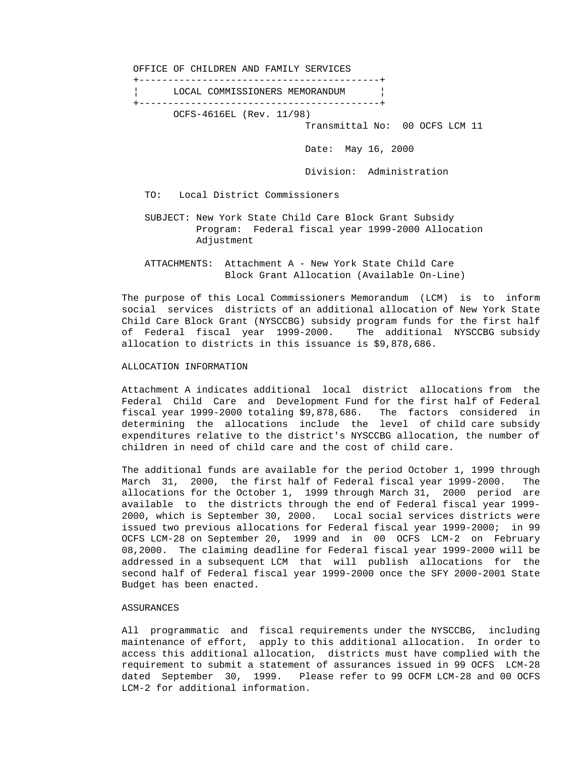OFFICE OF CHILDREN AND FAMILY SERVICES +------------------------------------------+ ¦ LOCAL COMMISSIONERS MEMORANDUM ¦ +------------------------------------------+ OCFS-4616EL (Rev. 11/98) Transmittal No: 00 OCFS LCM 11 Date: May 16, 2000 Division: Administration TO: Local District Commissioners SUBJECT: New York State Child Care Block Grant Subsidy Program: Federal fiscal year 1999-2000 Allocation Adjustment

 ATTACHMENTS: Attachment A - New York State Child Care Block Grant Allocation (Available On-Line)

 The purpose of this Local Commissioners Memorandum (LCM) is to inform social services districts of an additional allocation of New York State Child Care Block Grant (NYSCCBG) subsidy program funds for the first half of Federal fiscal year 1999-2000. The additional NYSCCBG subsidy allocation to districts in this issuance is \$9,878,686.

## ALLOCATION INFORMATION

 Attachment A indicates additional local district allocations from the Federal Child Care and Development Fund for the first half of Federal fiscal year 1999-2000 totaling \$9,878,686. The factors considered in determining the allocations include the level of child care subsidy expenditures relative to the district's NYSCCBG allocation, the number of children in need of child care and the cost of child care.

 The additional funds are available for the period October 1, 1999 through March 31, 2000, the first half of Federal fiscal year 1999-2000. The allocations for the October 1, 1999 through March 31, 2000 period are available to the districts through the end of Federal fiscal year 1999- 2000, which is September 30, 2000. Local social services districts were issued two previous allocations for Federal fiscal year 1999-2000; in 99 OCFS LCM-28 on September 20, 1999 and in 00 OCFS LCM-2 on February 08,2000. The claiming deadline for Federal fiscal year 1999-2000 will be addressed in a subsequent LCM that will publish allocations for the second half of Federal fiscal year 1999-2000 once the SFY 2000-2001 State Budget has been enacted.

#### ASSURANCES

 All programmatic and fiscal requirements under the NYSCCBG, including maintenance of effort, apply to this additional allocation. In order to access this additional allocation, districts must have complied with the requirement to submit a statement of assurances issued in 99 OCFS LCM-28 dated September 30, 1999. Please refer to 99 OCFM LCM-28 and 00 OCFS LCM-2 for additional information.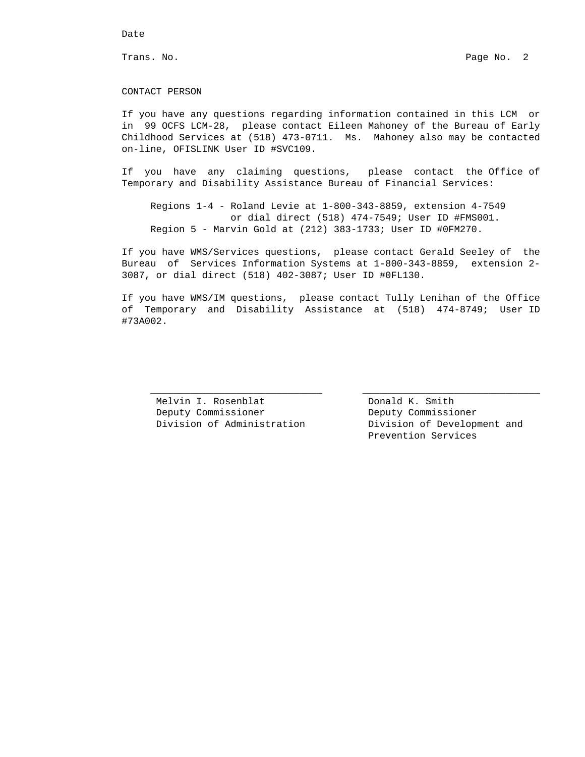## Date

#### CONTACT PERSON

 If you have any questions regarding information contained in this LCM or in 99 OCFS LCM-28, please contact Eileen Mahoney of the Bureau of Early Childhood Services at (518) 473-0711. Ms. Mahoney also may be contacted on-line, OFISLINK User ID #SVC109.

 If you have any claiming questions, please contact the Office of Temporary and Disability Assistance Bureau of Financial Services:

 Regions 1-4 - Roland Levie at 1-800-343-8859, extension 4-7549 or dial direct (518) 474-7549; User ID #FMS001. Region 5 - Marvin Gold at (212) 383-1733; User ID #0FM270.

 If you have WMS/Services questions, please contact Gerald Seeley of the Bureau of Services Information Systems at 1-800-343-8859, extension 2- 3087, or dial direct (518) 402-3087; User ID #0FL130.

 If you have WMS/IM questions, please contact Tully Lenihan of the Office of Temporary and Disability Assistance at (518) 474-8749; User ID #73A002.

 $\overline{\phantom{a}}$  , and the contribution of the contribution of  $\overline{\phantom{a}}$  , and  $\overline{\phantom{a}}$  , and  $\overline{\phantom{a}}$  , and  $\overline{\phantom{a}}$  , and  $\overline{\phantom{a}}$  , and  $\overline{\phantom{a}}$  , and  $\overline{\phantom{a}}$  , and  $\overline{\phantom{a}}$  , and  $\overline{\phantom{a}}$  , and

Melvin I. Rosenblat **Donald K. Smith** Deputy Commissioner Deputy Commissioner

 Division of Administration Division of Development and Prevention Services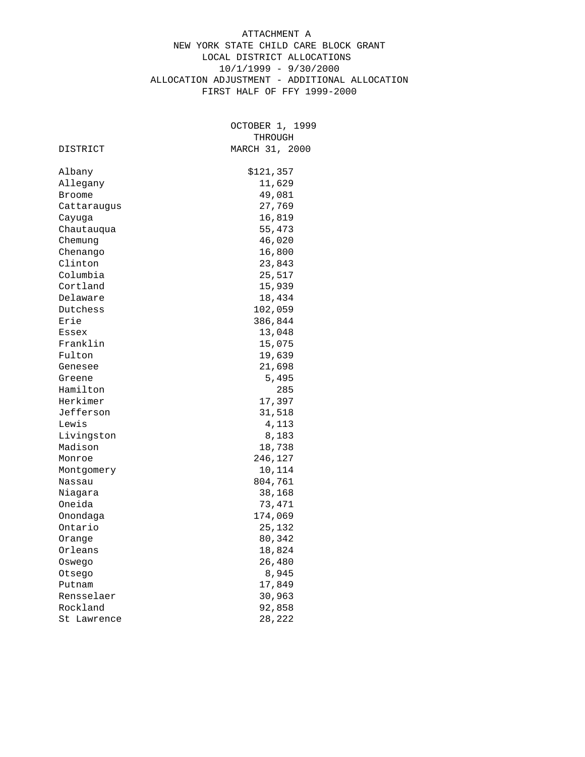# ATTACHMENT A NEW YORK STATE CHILD CARE BLOCK GRANT LOCAL DISTRICT ALLOCATIONS 10/1/1999 - 9/30/2000 ALLOCATION ADJUSTMENT - ADDITIONAL ALLOCATION FIRST HALF OF FFY 1999-2000

|                       | OCTOBER 1, 1999  |
|-----------------------|------------------|
|                       | THROUGH          |
| DISTRICT              | MARCH 31, 2000   |
| Albany                | \$121,357        |
| Allegany              | 11,629           |
| <b>Broome</b>         | 49,081           |
|                       | 27,769           |
| Cattaraugus           | 16,819           |
| Cayuga                | 55,473           |
| Chautauqua<br>Chemung | 46,020           |
|                       |                  |
| Chenango<br>Clinton   | 16,800           |
| Columbia              | 23,843<br>25,517 |
| Cortland              | 15,939           |
| Delaware              | 18,434           |
| Dutchess              | 102,059          |
| Erie                  | 386,844          |
| Essex                 | 13,048           |
| Franklin              | 15,075           |
| Fulton                |                  |
| Genesee               | 19,639<br>21,698 |
| Greene                | 5,495            |
| Hamilton              | 285              |
| Herkimer              | 17,397           |
| Jefferson             | 31,518           |
| Lewis                 | 4,113            |
| Livingston            | 8,183            |
| Madison               | 18,738           |
| Monroe                | 246,127          |
|                       | 10,114           |
| Montgomery<br>Nassau  | 804,761          |
| Niagara               | 38,168           |
| Oneida                | 73,471           |
|                       |                  |
| Onondaga<br>Ontario   | 174,069          |
|                       | 25,132           |
| Orange                | 80,342<br>18,824 |
| Orleans               |                  |
| Oswego                | 26,480           |
| Otsego                | 8,945            |
| Putnam                | 17,849           |
| Rensselaer            | 30,963           |
| Rockland              | 92,858           |
| Lawrence<br>St        | 28,222           |